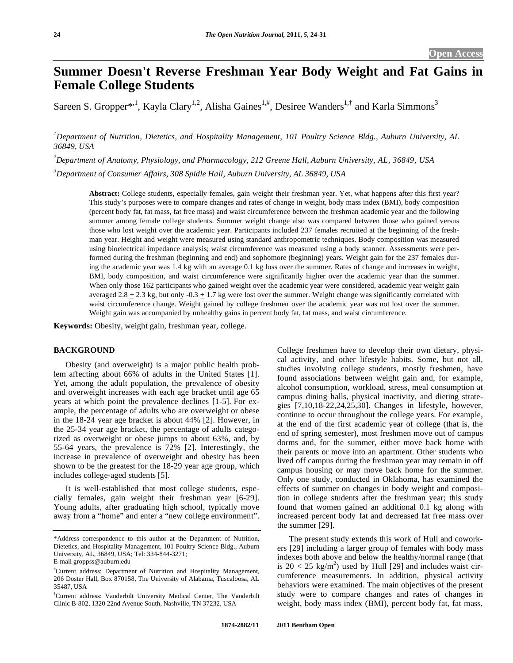# **Summer Doesn't Reverse Freshman Year Body Weight and Fat Gains in Female College Students**

Sareen S. Gropper<sup>\*,1</sup>, Kayla Clary<sup>1,2</sup>, Alisha Gaines<sup>1,#</sup>, Desiree Wanders<sup>1,†</sup> and Karla Simmons<sup>3</sup>

*1 Department of Nutrition, Dietetics, and Hospitality Management, 101 Poultry Science Bldg., Auburn University, AL 36849, USA* 

*2 Department of Anatomy, Physiology, and Pharmacology, 212 Greene Hall, Auburn University, AL, 36849, USA* 

*3 Department of Consumer Affairs, 308 Spidle Hall, Auburn University, AL 36849, USA* 

**Abstract:** College students, especially females, gain weight their freshman year. Yet, what happens after this first year? This study's purposes were to compare changes and rates of change in weight, body mass index (BMI), body composition (percent body fat, fat mass, fat free mass) and waist circumference between the freshman academic year and the following summer among female college students. Summer weight change also was compared between those who gained versus those who lost weight over the academic year. Participants included 237 females recruited at the beginning of the freshman year. Height and weight were measured using standard anthropometric techniques. Body composition was measured using bioelectrical impedance analysis; waist circumference was measured using a body scanner. Assessments were performed during the freshman (beginning and end) and sophomore (beginning) years. Weight gain for the 237 females during the academic year was 1.4 kg with an average 0.1 kg loss over the summer. Rates of change and increases in weight, BMI, body composition, and waist circumference were significantly higher over the academic year than the summer. When only those 162 participants who gained weight over the academic year were considered, academic year weight gain averaged 2.8  $\pm$  2.3 kg, but only -0.3  $\pm$  1.7 kg were lost over the summer. Weight change was significantly correlated with waist circumference change. Weight gained by college freshmen over the academic year was not lost over the summer. Weight gain was accompanied by unhealthy gains in percent body fat, fat mass, and waist circumference.

**Keywords:** Obesity, weight gain, freshman year, college.

# **BACKGROUND**

 Obesity (and overweight) is a major public health problem affecting about 66% of adults in the United States [1]. Yet, among the adult population, the prevalence of obesity and overweight increases with each age bracket until age 65 years at which point the prevalence declines [1-5]. For example, the percentage of adults who are overweight or obese in the 18-24 year age bracket is about 44% [2]. However, in the 25-34 year age bracket, the percentage of adults categorized as overweight or obese jumps to about 63%, and, by 55-64 years, the prevalence is 72% [2]. Interestingly, the increase in prevalence of overweight and obesity has been shown to be the greatest for the 18-29 year age group, which includes college-aged students [5].

 It is well-established that most college students, especially females, gain weight their freshman year [6-29]. Young adults, after graduating high school, typically move away from a "home" and enter a "new college environment". College freshmen have to develop their own dietary, physical activity, and other lifestyle habits. Some, but not all, studies involving college students, mostly freshmen, have found associations between weight gain and, for example, alcohol consumption, workload, stress, meal consumption at campus dining halls, physical inactivity, and dieting strategies [7,10,18-22,24,25,30]. Changes in lifestyle, however, continue to occur throughout the college years. For example, at the end of the first academic year of college (that is, the end of spring semester), most freshmen move out of campus dorms and, for the summer, either move back home with their parents or move into an apartment. Other students who lived off campus during the freshman year may remain in off campus housing or may move back home for the summer. Only one study, conducted in Oklahoma, has examined the effects of summer on changes in body weight and composition in college students after the freshman year; this study found that women gained an additional 0.1 kg along with increased percent body fat and decreased fat free mass over the summer [29].

 The present study extends this work of Hull and coworkers [29] including a larger group of females with body mass indexes both above and below the healthy/normal range (that is  $20 < 25$  kg/m<sup>2</sup>) used by Hull [29] and includes waist circumference measurements. In addition, physical activity behaviors were examined. The main objectives of the present study were to compare changes and rates of changes in weight, body mass index (BMI), percent body fat, fat mass,

<sup>\*</sup>Address correspondence to this author at the Department of Nutrition, Dietetics, and Hospitality Management, 101 Poultry Science Bldg., Auburn University, AL, 36849, USA; Tel: 334-844-3271; E-mail groppss@auburn.edu

<sup>#</sup> Current address: Department of Nutrition and Hospitality Management, 206 Doster Hall, Box 870158, The University of Alabama, Tuscaloosa, AL 35487, USA

<sup>†</sup> Current address: Vanderbilt University Medical Center, The Vanderbilt Clinic B-802, 1320 22nd Avenue South, Nashville, TN 37232, USA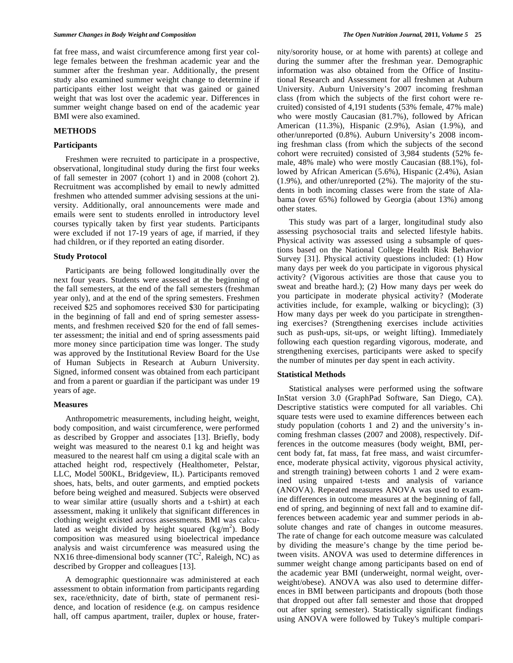fat free mass, and waist circumference among first year college females between the freshman academic year and the summer after the freshman year. Additionally, the present study also examined summer weight change to determine if participants either lost weight that was gained or gained weight that was lost over the academic year. Differences in summer weight change based on end of the academic year BMI were also examined.

# **METHODS**

## **Participants**

 Freshmen were recruited to participate in a prospective, observational, longitudinal study during the first four weeks of fall semester in 2007 (cohort 1) and in 2008 (cohort 2). Recruitment was accomplished by email to newly admitted freshmen who attended summer advising sessions at the university. Additionally, oral announcements were made and emails were sent to students enrolled in introductory level courses typically taken by first year students. Participants were excluded if not 17-19 years of age, if married, if they had children, or if they reported an eating disorder.

## **Study Protocol**

 Participants are being followed longitudinally over the next four years. Students were assessed at the beginning of the fall semesters, at the end of the fall semesters (freshman year only), and at the end of the spring semesters. Freshmen received \$25 and sophomores received \$30 for participating in the beginning of fall and end of spring semester assessments, and freshmen received \$20 for the end of fall semester assessment; the initial and end of spring assessments paid more money since participation time was longer. The study was approved by the Institutional Review Board for the Use of Human Subjects in Research at Auburn University. Signed, informed consent was obtained from each participant and from a parent or guardian if the participant was under 19 years of age.

### **Measures**

 Anthropometric measurements, including height, weight, body composition, and waist circumference, were performed as described by Gropper and associates [13]. Briefly, body weight was measured to the nearest 0.1 kg and height was measured to the nearest half cm using a digital scale with an attached height rod, respectively (Healthometer, Pelstar, LLC, Model 500KL, Bridgeview, IL). Participants removed shoes, hats, belts, and outer garments, and emptied pockets before being weighed and measured. Subjects were observed to wear similar attire (usually shorts and a t-shirt) at each assessment, making it unlikely that significant differences in clothing weight existed across assessments. BMI was calculated as weight divided by height squared  $(kg/m^2)$ . Body composition was measured using bioelectrical impedance analysis and waist circumference was measured using the NX16 three-dimensional body scanner  $(TC^2, Raleigh, NC)$  as described by Gropper and colleagues [13].

 A demographic questionnaire was administered at each assessment to obtain information from participants regarding sex, race/ethnicity, date of birth, state of permanent residence, and location of residence (e.g. on campus residence hall, off campus apartment, trailer, duplex or house, fraternity/sorority house, or at home with parents) at college and during the summer after the freshman year. Demographic information was also obtained from the Office of Institutional Research and Assessment for all freshmen at Auburn University. Auburn University's 2007 incoming freshman class (from which the subjects of the first cohort were recruited) consisted of 4,191 students (53% female, 47% male) who were mostly Caucasian (81.7%), followed by African American (11.3%), Hispanic (2.9%), Asian (1.9%), and other/unreported (0.8%). Auburn University's 2008 incoming freshman class (from which the subjects of the second cohort were recruited) consisted of 3,984 students (52% female, 48% male) who were mostly Caucasian (88.1%), followed by African American (5.6%), Hispanic (2.4%), Asian (1.9%), and other/unreported (2%). The majority of the students in both incoming classes were from the state of Alabama (over 65%) followed by Georgia (about 13%) among other states.

 This study was part of a larger, longitudinal study also assessing psychosocial traits and selected lifestyle habits. Physical activity was assessed using a subsample of questions based on the National College Health Risk Behavior Survey [31]. Physical activity questions included: (1) How many days per week do you participate in vigorous physical activity? (Vigorous activities are those that cause you to sweat and breathe hard.); (2) How many days per week do you participate in moderate physical activity? (Moderate activities include, for example, walking or bicycling); (3) How many days per week do you participate in strengthening exercises? (Strengthening exercises include activities such as push-ups, sit-ups, or weight lifting). Immediately following each question regarding vigorous, moderate, and strengthening exercises, participants were asked to specify the number of minutes per day spent in each activity.

#### **Statistical Methods**

 Statistical analyses were performed using the software InStat version 3.0 (GraphPad Software, San Diego, CA). Descriptive statistics were computed for all variables. Chi square tests were used to examine differences between each study population (cohorts 1 and 2) and the university's incoming freshman classes (2007 and 2008), respectively. Differences in the outcome measures (body weight, BMI, percent body fat, fat mass, fat free mass, and waist circumference, moderate physical activity, vigorous physical activity, and strength training) between cohorts 1 and 2 were examined using unpaired t-tests and analysis of variance (ANOVA). Repeated measures ANOVA was used to examine differences in outcome measures at the beginning of fall, end of spring, and beginning of next fall and to examine differences between academic year and summer periods in absolute changes and rate of changes in outcome measures. The rate of change for each outcome measure was calculated by dividing the measure's change by the time period between visits. ANOVA was used to determine differences in summer weight change among participants based on end of the academic year BMI (underweight, normal weight, overweight/obese). ANOVA was also used to determine differences in BMI between participants and dropouts (both those that dropped out after fall semester and those that dropped out after spring semester). Statistically significant findings using ANOVA were followed by Tukey's multiple compari-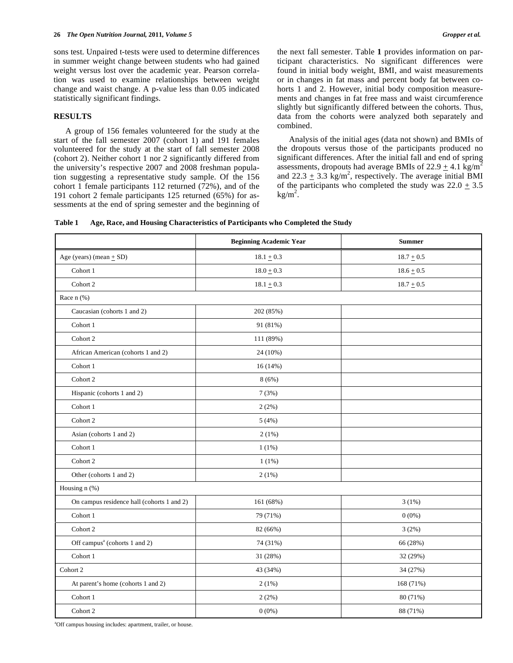sons test. Unpaired t-tests were used to determine differences in summer weight change between students who had gained weight versus lost over the academic year. Pearson correlation was used to examine relationships between weight change and waist change. A p-value less than 0.05 indicated statistically significant findings.

# **RESULTS**

 A group of 156 females volunteered for the study at the start of the fall semester 2007 (cohort 1) and 191 females volunteered for the study at the start of fall semester 2008 (cohort 2). Neither cohort 1 nor 2 significantly differed from the university's respective 2007 and 2008 freshman population suggesting a representative study sample. Of the 156 cohort 1 female participants 112 returned (72%), and of the 191 cohort 2 female participants 125 returned (65%) for assessments at the end of spring semester and the beginning of the next fall semester. Table **1** provides information on participant characteristics. No significant differences were found in initial body weight, BMI, and waist measurements or in changes in fat mass and percent body fat between cohorts 1 and 2. However, initial body composition measurements and changes in fat free mass and waist circumference slightly but significantly differed between the cohorts. Thus, data from the cohorts were analyzed both separately and combined.

 Analysis of the initial ages (data not shown) and BMIs of the dropouts versus those of the participants produced no significant differences. After the initial fall and end of spring assessments, dropouts had average BMIs of  $22.9 \pm 4.1$  kg/m<sup>2</sup> and  $22.3 \pm 3.3$  kg/m<sup>2</sup>, respectively. The average initial BMI of the participants who completed the study was  $22.0 \pm 3.5$  $kg/m<sup>2</sup>$ .

| Table 1 |  |  |  | Age, Race, and Housing Characteristics of Participants who Completed the Study |
|---------|--|--|--|--------------------------------------------------------------------------------|
|---------|--|--|--|--------------------------------------------------------------------------------|

|                                            | <b>Beginning Academic Year</b> | <b>Summer</b> |  |
|--------------------------------------------|--------------------------------|---------------|--|
| Age (years) (mean $\pm$ SD)                | $18.1\pm0.3$                   | $18.7 + 0.5$  |  |
| Cohort 1                                   | $18.0 + 0.3$                   | $18.6 + 0.5$  |  |
| Cohort 2                                   | $18.1 \pm 0.3$                 | $18.7 + 0.5$  |  |
| Race $n$ (%)                               |                                |               |  |
| Caucasian (cohorts 1 and 2)                | 202 (85%)                      |               |  |
| Cohort 1                                   | 91 (81%)                       |               |  |
| Cohort 2                                   | 111 (89%)                      |               |  |
| African American (cohorts 1 and 2)         | 24 (10%)                       |               |  |
| Cohort 1                                   | 16(14%)                        |               |  |
| Cohort 2                                   | 8(6%)                          |               |  |
| Hispanic (cohorts 1 and 2)                 | 7(3%)                          |               |  |
| Cohort 1                                   | 2(2%)                          |               |  |
| Cohort 2                                   | 5(4%)                          |               |  |
| Asian (cohorts 1 and 2)                    | 2(1%)                          |               |  |
| Cohort 1                                   | 1(1%)                          |               |  |
| Cohort 2                                   | $1(1\%)$                       |               |  |
| Other (cohorts 1 and 2)                    | 2(1%)                          |               |  |
| Housing n (%)                              |                                |               |  |
| On campus residence hall (cohorts 1 and 2) | 161 (68%)                      | 3(1%)         |  |
| Cohort 1                                   | 79 (71%)                       | $0(0\%)$      |  |
| Cohort 2                                   | 82 (66%)                       | 3(2%)         |  |
| Off campus <sup>a</sup> (cohorts 1 and 2)  | 74 (31%)                       | 66 (28%)      |  |
| Cohort 1                                   | 31 (28%)                       | 32 (29%)      |  |
| Cohort 2                                   | 43 (34%)                       | 34 (27%)      |  |
| At parent's home (cohorts 1 and 2)         | 2(1%)                          | 168 (71%)     |  |
| Cohort 1                                   | 2(2%)                          | 80 (71%)      |  |
| Cohort 2                                   | $0(0\%)$                       | 88 (71%)      |  |

a Off campus housing includes: apartment, trailer, or house.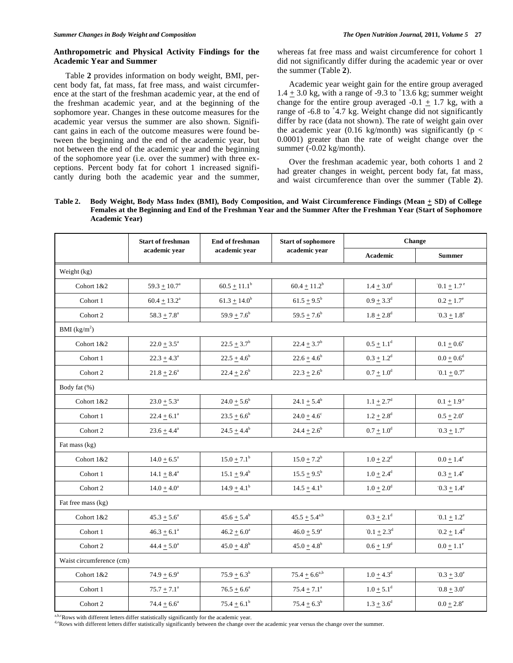# **Anthropometric and Physical Activity Findings for the Academic Year and Summer**

 Table **2** provides information on body weight, BMI, percent body fat, fat mass, fat free mass, and waist circumference at the start of the freshman academic year, at the end of the freshman academic year, and at the beginning of the sophomore year. Changes in these outcome measures for the academic year versus the summer are also shown. Significant gains in each of the outcome measures were found between the beginning and the end of the academic year, but not between the end of the academic year and the beginning of the sophomore year (i.e. over the summer) with three exceptions. Percent body fat for cohort 1 increased significantly during both the academic year and the summer, whereas fat free mass and waist circumference for cohort 1 did not significantly differ during the academic year or over the summer (Table **2**).

 Academic year weight gain for the entire group averaged  $1.4 \pm 3.0$  kg, with a range of -9.3 to  $\pm 13.6$  kg; summer weight change for the entire group averaged  $-0.1 \pm 1.7$  kg, with a range of  $-6.8$  to  $+4.7$  kg. Weight change did not significantly differ by race (data not shown). The rate of weight gain over the academic year (0.16 kg/month) was significantly ( $p <$ 0.0001) greater than the rate of weight change over the summer (-0.02 kg/month).

 Over the freshman academic year, both cohorts 1 and 2 had greater changes in weight, percent body fat, fat mass, and waist circumference than over the summer (Table **2**).

# **Table 2. Body Weight, Body Mass Index (BMI), Body Composition, and Waist Circumference Findings (Mean + SD) of College Females at the Beginning and End of the Freshman Year and the Summer After the Freshman Year (Start of Sophomore Academic Year)**

|                          | <b>Start of freshman</b> | End of freshman        | <b>Start of sophomore</b><br>academic year | Change                     |                            |  |  |  |
|--------------------------|--------------------------|------------------------|--------------------------------------------|----------------------------|----------------------------|--|--|--|
|                          | academic year            | academic year          |                                            | Academic                   | <b>Summer</b>              |  |  |  |
| Weight (kg)              |                          |                        |                                            |                            |                            |  |  |  |
| Cohort 1&2               | $59.3 \pm 10.7^{\circ}$  | $60.5 \pm 11.1^b$      | $60.4 \pm 11.2^b$                          | $1.4 \pm 3.0^d$            | $0.1 \pm 1.7$ <sup>e</sup> |  |  |  |
| Cohort 1                 | $60.4 \pm 13.2^a$        | $61.3 \pm 14.0^b$      | $61.5 \pm 9.5^{\rm b}$                     | $0.9 \pm 3.3^d$            | $0.2 \pm 1.7^{\circ}$      |  |  |  |
| Cohort 2                 | $58.3 \pm 7.8^{\circ}$   | $59.9 \pm 7.6^b$       | $59.5 \pm 7.6^b$                           | $1.8 + 2.8^d$              | $0.3 \pm 1.8^{\circ}$      |  |  |  |
| BMI (kg/m <sup>2</sup> ) |                          |                        |                                            |                            |                            |  |  |  |
| Cohort 1&2               | $22.0 \pm 3.5^{\circ}$   | $22.5 \pm 3.7^b$       | $22.4 \pm 3.7^b$                           | $0.5 \pm 1.1^d$            | $0.1 \pm 0.6^{\circ}$      |  |  |  |
| Cohort 1                 | $22.3 \pm 4.3^{\circ}$   | $22.5 \pm 4.6^b$       | $22.6 \pm 4.6^b$                           | $0.3 \pm 1.2^d$            | $0.0 \pm 0.6^d$            |  |  |  |
| Cohort 2                 | $21.8 \pm 2.6^a$         | $22.4 \pm 2.6^b$       | $22.3 \pm 2.6^b$                           | $0.7 + 1.0^d$              | $0.1 \pm 0.7^e$            |  |  |  |
| Body fat (%)             |                          |                        |                                            |                            |                            |  |  |  |
| Cohort 1&2               | $23.0 + 5.3^a$           | $24.0 \pm 5.6^b$       | $24.1 \pm 5.4^b$                           | $1.1 \pm 2.7^{\rm d}$      | $0.1 \pm 1.9^{\circ}$      |  |  |  |
| Cohort 1                 | $22.4 \pm 6.1^{\circ}$   | $23.5 \pm 6.6^b$       | $24.0 + 4.6^c$                             | $1.2 \pm 2.8$ <sup>d</sup> | $0.5 \pm 2.0^{\circ}$      |  |  |  |
| Cohort 2                 | $23.6 \pm 4.4^{\circ}$   | $24.5 + 4.4^b$         | $24.4 + 2.6^b$                             | $0.7 \pm 1.0^d$            | $0.3 + 1.7^e$              |  |  |  |
| Fat mass (kg)            |                          |                        |                                            |                            |                            |  |  |  |
| Cohort 1&2               | $14.0 \pm 6.5^{\circ}$   | $15.0 \pm 7.1^b$       | $15.0 \pm 7.2^b$                           | $1.0 \pm 2.2^d$            | $0.0 + 1.4^e$              |  |  |  |
| Cohort 1                 | $14.1 + 8.4^a$           | $15.1 \pm 9.4^b$       | $15.5 \pm 9.5^{\rm b}$                     | $1.0 \pm 2.4^d$            | $0.3 \pm 1.4^e$            |  |  |  |
| Cohort 2                 | $14.0 \pm 4.0^{\circ}$   | $14.9 \pm 4.1^{\rm b}$ | $14.5 \pm 4.1^{\rm b}$                     | $1.0 \pm 2.0^d$            | $0.3 \pm 1.4^{\circ}$      |  |  |  |
| Fat free mass (kg)       |                          |                        |                                            |                            |                            |  |  |  |
| Cohort 1&2               | $45.3 \pm 5.6^a$         | $45.6 \pm 5.4^b$       | $45.5 \pm 5.4^{\text{a,b}}$                | $0.3 \pm 2.1^d$            | $0.1 + 1.2^e$              |  |  |  |
| Cohort 1                 | $46.3 \pm 6.1^a$         | $46.2 \pm 6.0^a$       | $46.0 \pm 5.9^{\circ}$                     | $0.1 \pm 2.3^d$            | $0.2 \pm 1.4^d$            |  |  |  |
| Cohort 2                 | $44.4 \pm 5.0^a$         | $45.0 + 4.8^b$         | $45.0 + 4.8^b$                             | $0.6 \pm 1.9^d$            | $0.0 \pm 1.1^{\circ}$      |  |  |  |
| Waist circumference (cm) |                          |                        |                                            |                            |                            |  |  |  |
| Cohort 1&2               | $74.9 + 6.9^{\circ}$     | $75.9 \pm 6.3^b$       | $75.4 \pm 6.6^{a,b}$                       | $1.0 \pm 4.3^{\rm d}$      | $0.3 \pm 3.0^{\circ}$      |  |  |  |
| Cohort 1                 | $75.7 \pm 7.1^{\circ}$   | $76.5 + 6.6^a$         | $75.4 \pm 7.1^{\circ}$                     | $1.0 \pm 5.1^d$            | $0.8 + 3.0^e$              |  |  |  |
| Cohort 2                 | $74.4 \pm 6.6^a$         | $75.4 \pm 6.1^b$       | $75.4 \pm 6.3^b$                           | $1.3 \pm 3.6^d$            | $0.0 \pm 2.8^{\circ}$      |  |  |  |

a.b.cRows with different letters differ statistically significantly for the academic year.<br>deRows with different letters differ statistically significantly between the change over the academic year versus the change over t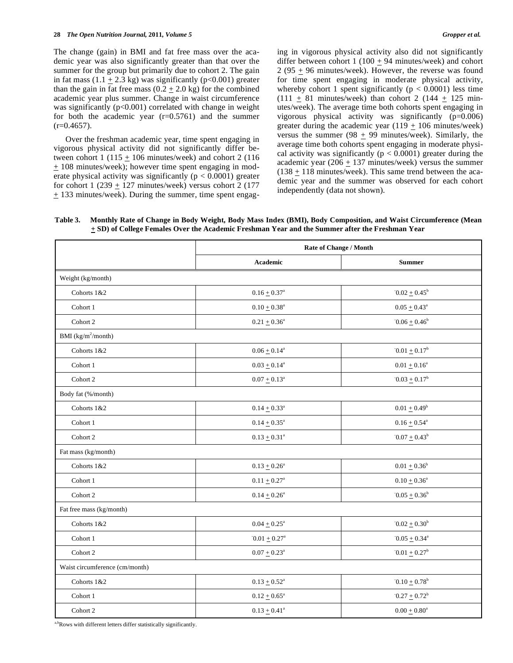Over the freshman academic year, time spent engaging in vigorous physical activity did not significantly differ between cohort 1 (115  $\pm$  106 minutes/week) and cohort 2 (116  $+ 108$  minutes/week); however time spent engaging in moderate physical activity was significantly ( $p < 0.0001$ ) greater for cohort 1 (239 + 127 minutes/week) versus cohort 2 (177 + 133 minutes/week). During the summer, time spent engaging in vigorous physical activity also did not significantly differ between cohort 1 (100 + 94 minutes/week) and cohort 2 (95 + 96 minutes/week). However, the reverse was found for time spent engaging in moderate physical activity, whereby cohort 1 spent significantly ( $p < 0.0001$ ) less time  $(111 + 81$  minutes/week) than cohort 2 (144  $\pm$  125 minutes/week). The average time both cohorts spent engaging in vigorous physical activity was significantly (p=0.006) greater during the academic year  $(119 + 106 \text{ minutes/week})$ versus the summer (98  $\pm$  99 minutes/week). Similarly, the average time both cohorts spent engaging in moderate physical activity was significantly ( $p < 0.0001$ ) greater during the academic year (206  $\pm$  137 minutes/week) versus the summer  $(138 + 118 \text{ minutes/week})$ . This same trend between the academic year and the summer was observed for each cohort independently (data not shown).

**Table 3. Monthly Rate of Change in Body Weight, Body Mass Index (BMI), Body Composition, and Waist Circumference (Mean + SD) of College Females Over the Academic Freshman Year and the Summer after the Freshman Year** 

|                                | Rate of Change / Month                                  |                            |  |
|--------------------------------|---------------------------------------------------------|----------------------------|--|
|                                | Academic                                                | <b>Summer</b>              |  |
| Weight (kg/month)              |                                                         |                            |  |
| Cohorts 1&2                    | $0.16 \pm 0.37^{\rm a}$                                 | $0.02 \pm 0.45^b$          |  |
| Cohort 1                       | $0.10 \pm 0.38^a$                                       | $0.05 \pm 0.43^{\circ}$    |  |
| Cohort 2                       | $0.21\pm0.36^{\rm a}$                                   | $0.06 \pm 0.46^b$          |  |
| BMI $(kg/m^2/month)$           |                                                         |                            |  |
| Cohorts 1&2                    | $0.06 \pm 0.14^a$                                       | $0.01 + 0.17$ <sup>b</sup> |  |
| Cohort 1                       | $0.03 \pm 0.14^a$                                       | $0.01 + 0.16^a$            |  |
| Cohort 2                       | $0.07 \pm 0.13^a$                                       | $0.03 + 0.17^b$            |  |
| Body fat (%/month)             |                                                         |                            |  |
| Cohorts 1&2                    | $0.14 \pm 0.33^a$                                       | $0.01 \pm 0.49^b$          |  |
| Cohort 1                       | $0.14 \pm 0.35^{\text{a}}$                              | $0.16 \pm 0.54^a$          |  |
| Cohort 2                       | $0.13 \pm 0.31^a$                                       | $0.07 \pm 0.43^b$          |  |
| Fat mass (kg/month)            |                                                         |                            |  |
| Cohorts 1&2                    | $0.13 + 0.26^a$                                         | $0.01 + 0.36^b$            |  |
| Cohort 1                       | $0.11 \pm 0.27^{\rm a}$                                 | $0.10 + 0.36^a$            |  |
| Cohort 2                       | $0.14 \pm 0.26^a$                                       | $0.05 + 0.36^b$            |  |
| Fat free mass (kg/month)       |                                                         |                            |  |
| Cohorts 1&2                    | $0.04 \pm 0.25^{\text{a}}$                              | $0.02 \pm 0.30^b$          |  |
| Cohort 1                       | $0.05 \pm 0.34^{\circ}$<br>$0.01 \pm 0.27$ <sup>a</sup> |                            |  |
| Cohort 2                       | $0.07 \pm 0.23^{\text{a}}$                              | $0.01 \pm 0.27^b$          |  |
| Waist circumference (cm/month) |                                                         |                            |  |
| Cohorts 1&2                    | $0.10 + 0.78$ <sup>b</sup><br>$0.13 \pm 0.52^a$         |                            |  |
| Cohort 1                       | $0.12 \pm 0.65^a$                                       | $-0.27 + 0.72^b$           |  |
| Cohort 2                       | $0.13 \pm 0.41^a$                                       | $0.00 + 0.80^a$            |  |
|                                |                                                         |                            |  |

a,bRows with different letters differ statistically significantly.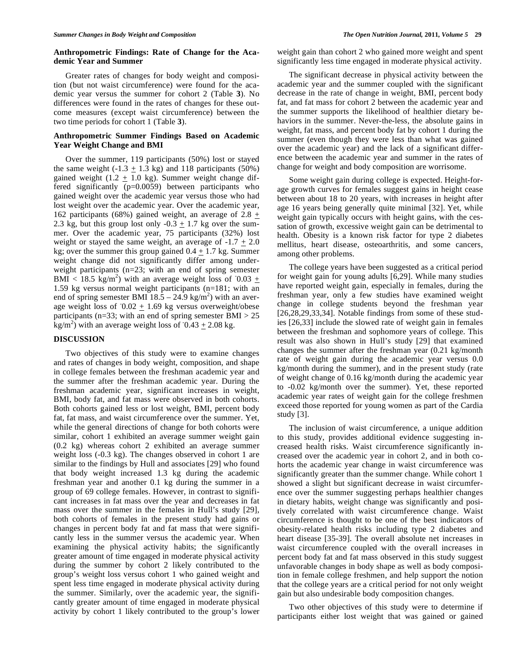## **Anthropometric Findings: Rate of Change for the Academic Year and Summer**

 Greater rates of changes for body weight and composition (but not waist circumference) were found for the academic year versus the summer for cohort 2 (Table **3**). No differences were found in the rates of changes for these outcome measures (except waist circumference) between the two time periods for cohort 1 (Table **3**).

# **Anthropometric Summer Findings Based on Academic Year Weight Change and BMI**

 Over the summer, 119 participants (50%) lost or stayed the same weight  $(-1.3 \pm 1.3 \text{ kg})$  and 118 participants (50%) gained weight (1.2  $\pm$  1.0 kg). Summer weight change differed significantly (p=0.0059) between participants who gained weight over the academic year versus those who had lost weight over the academic year. Over the academic year, 162 participants (68%) gained weight, an average of 2.8  $\pm$ 2.3 kg, but this group lost only  $-0.3 \pm 1.7$  kg over the summer. Over the academic year, 75 participants (32%) lost weight or stayed the same weight, an average of  $-1.7 \pm 2.0$ kg; over the summer this group gained  $0.4 + 1.7$  kg. Summer weight change did not significantly differ among underweight participants (n=23; with an end of spring semester BMI < 18.5 kg/m<sup>2</sup>) with an average weight loss of  $0.03 \pm$ 1.59 kg versus normal weight participants (n=181; with an end of spring semester BMI  $18.5 - 24.9$  kg/m<sup>2</sup>) with an average weight loss of  $0.02 \pm 1.69$  kg versus overweight/obese participants (n=33; with an end of spring semester BMI  $> 25$ )  $\text{kg/m}^2$ ) with an average weight loss of  $0.43 \pm 2.08 \text{ kg}$ .

## **DISCUSSION**

 Two objectives of this study were to examine changes and rates of changes in body weight, composition, and shape in college females between the freshman academic year and the summer after the freshman academic year. During the freshman academic year, significant increases in weight, BMI, body fat, and fat mass were observed in both cohorts. Both cohorts gained less or lost weight, BMI, percent body fat, fat mass, and waist circumference over the summer. Yet, while the general directions of change for both cohorts were similar, cohort 1 exhibited an average summer weight gain (0.2 kg) whereas cohort 2 exhibited an average summer weight loss (-0.3 kg). The changes observed in cohort 1 are similar to the findings by Hull and associates [29] who found that body weight increased 1.3 kg during the academic freshman year and another 0.1 kg during the summer in a group of 69 college females. However, in contrast to significant increases in fat mass over the year and decreases in fat mass over the summer in the females in Hull's study [29], both cohorts of females in the present study had gains or changes in percent body fat and fat mass that were significantly less in the summer versus the academic year. When examining the physical activity habits; the significantly greater amount of time engaged in moderate physical activity during the summer by cohort 2 likely contributed to the group's weight loss versus cohort 1 who gained weight and spent less time engaged in moderate physical activity during the summer. Similarly, over the academic year, the significantly greater amount of time engaged in moderate physical activity by cohort 1 likely contributed to the group's lower

weight gain than cohort 2 who gained more weight and spent significantly less time engaged in moderate physical activity.

 The significant decrease in physical activity between the academic year and the summer coupled with the significant decrease in the rate of change in weight, BMI, percent body fat, and fat mass for cohort 2 between the academic year and the summer supports the likelihood of healthier dietary behaviors in the summer. Never-the-less, the absolute gains in weight, fat mass, and percent body fat by cohort 1 during the summer (even though they were less than what was gained over the academic year) and the lack of a significant difference between the academic year and summer in the rates of change for weight and body composition are worrisome.

 Some weight gain during college is expected. Height-forage growth curves for females suggest gains in height cease between about 18 to 20 years, with increases in height after age 16 years being generally quite minimal [32]. Yet, while weight gain typically occurs with height gains, with the cessation of growth, excessive weight gain can be detrimental to health. Obesity is a known risk factor for type 2 diabetes mellitus, heart disease, osteoarthritis, and some cancers, among other problems.

 The college years have been suggested as a critical period for weight gain for young adults [6,29]. While many studies have reported weight gain, especially in females, during the freshman year, only a few studies have examined weight change in college students beyond the freshman year [26,28,29,33,34]. Notable findings from some of these studies [26,33] include the slowed rate of weight gain in females between the freshman and sophomore years of college. This result was also shown in Hull's study [29] that examined changes the summer after the freshman year (0.21 kg/month rate of weight gain during the academic year versus 0.0 kg/month during the summer), and in the present study (rate of weight change of 0.16 kg/month during the academic year to -0.02 kg/month over the summer). Yet, these reported academic year rates of weight gain for the college freshmen exceed those reported for young women as part of the Cardia study [3].

 The inclusion of waist circumference, a unique addition to this study, provides additional evidence suggesting increased health risks. Waist circumference significantly increased over the academic year in cohort 2, and in both cohorts the academic year change in waist circumference was significantly greater than the summer change. While cohort 1 showed a slight but significant decrease in waist circumference over the summer suggesting perhaps healthier changes in dietary habits, weight change was significantly and positively correlated with waist circumference change. Waist circumference is thought to be one of the best indicators of obesity-related health risks including type 2 diabetes and heart disease [35-39]. The overall absolute net increases in waist circumference coupled with the overall increases in percent body fat and fat mass observed in this study suggest unfavorable changes in body shape as well as body composition in female college freshmen, and help support the notion that the college years are a critical period for not only weight gain but also undesirable body composition changes.

 Two other objectives of this study were to determine if participants either lost weight that was gained or gained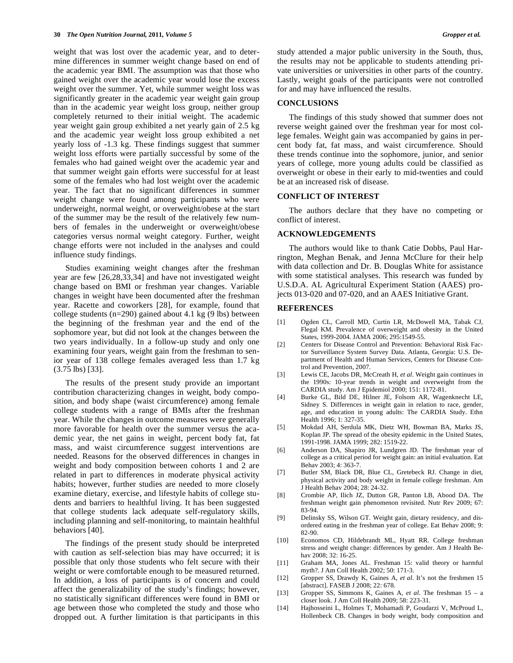weight that was lost over the academic year, and to determine differences in summer weight change based on end of the academic year BMI. The assumption was that those who gained weight over the academic year would lose the excess weight over the summer. Yet, while summer weight loss was significantly greater in the academic year weight gain group than in the academic year weight loss group, neither group completely returned to their initial weight. The academic year weight gain group exhibited a net yearly gain of 2.5 kg and the academic year weight loss group exhibited a net yearly loss of -1.3 kg. These findings suggest that summer weight loss efforts were partially successful by some of the females who had gained weight over the academic year and that summer weight gain efforts were successful for at least some of the females who had lost weight over the academic year. The fact that no significant differences in summer weight change were found among participants who were underweight, normal weight, or overweight/obese at the start of the summer may be the result of the relatively few numbers of females in the underweight or overweight/obese categories versus normal weight category. Further, weight change efforts were not included in the analyses and could influence study findings.

 Studies examining weight changes after the freshman year are few [26,28,33,34] and have not investigated weight change based on BMI or freshman year changes. Variable changes in weight have been documented after the freshman year. Racette and coworkers [28], for example, found that college students (n=290) gained about 4.1 kg (9 lbs) between the beginning of the freshman year and the end of the sophomore year, but did not look at the changes between the two years individually. In a follow-up study and only one examining four years, weight gain from the freshman to senior year of 138 college females averaged less than 1.7 kg (3.75 lbs) [33].

 The results of the present study provide an important contribution characterizing changes in weight, body composition, and body shape (waist circumference) among female college students with a range of BMIs after the freshman year. While the changes in outcome measures were generally more favorable for health over the summer versus the academic year, the net gains in weight, percent body fat, fat mass, and waist circumference suggest interventions are needed. Reasons for the observed differences in changes in weight and body composition between cohorts 1 and 2 are related in part to differences in moderate physical activity habits; however, further studies are needed to more closely examine dietary, exercise, and lifestyle habits of college students and barriers to healthful living. It has been suggested that college students lack adequate self-regulatory skills, including planning and self-monitoring, to maintain healthful behaviors [40].

 The findings of the present study should be interpreted with caution as self-selection bias may have occurred; it is possible that only those students who felt secure with their weight or were comfortable enough to be measured returned. In addition, a loss of participants is of concern and could affect the generalizability of the study's findings; however, no statistically significant differences were found in BMI or age between those who completed the study and those who dropped out. A further limitation is that participants in this

study attended a major public university in the South, thus, the results may not be applicable to students attending private universities or universities in other parts of the country. Lastly, weight goals of the participants were not controlled for and may have influenced the results.

#### **CONCLUSIONS**

 The findings of this study showed that summer does not reverse weight gained over the freshman year for most college females. Weight gain was accompanied by gains in percent body fat, fat mass, and waist circumference. Should these trends continue into the sophomore, junior, and senior years of college, more young adults could be classified as overweight or obese in their early to mid-twenties and could be at an increased risk of disease.

#### **CONFLICT OF INTEREST**

 The authors declare that they have no competing or conflict of interest.

## **ACKNOWLEDGEMENTS**

 The authors would like to thank Catie Dobbs, Paul Harrington, Meghan Benak, and Jenna McClure for their help with data collection and Dr. B. Douglas White for assistance with some statistical analyses. This research was funded by U.S.D.A. AL Agricultural Experiment Station (AAES) projects 013-020 and 07-020, and an AAES Initiative Grant.

#### **REFERENCES**

- [1] Ogden CL, Carroll MD, Curtin LR, McDowell MA, Tabak CJ, Flegal KM. Prevalence of overweight and obesity in the United States, 1999-2004. JAMA 2006; 295:1549-55.
- [2] Centers for Disease Control and Prevention: Behavioral Risk Factor Surveillance System Survey Data. Atlanta, Georgia: U.S. Department of Health and Human Services, Centers for Disease Control and Prevention, 2007.
- [3] Lewis CE, Jacobs DR, McCreath H, *et al*. Weight gain continues in the 1990s: 10-year trends in weight and overweight from the CARDIA study. Am J Epidemiol 2000; 151: 1172-81.
- [4] Burke GL, Bild DE, Hilner JE, Folsom AR, Wagenknecht LE, Sidney S. Differences in weight gain in relation to race, gender, age, and education in young adults: The CARDIA Study. Ethn Health 1996; 1: 327-35.
- [5] Mokdad AH, Serdula MK, Dietz WH, Bowman BA, Marks JS, Koplan JP. The spread of the obesity epidemic in the United States, 1991-1998. JAMA 1999; 282: 1519-22.
- [6] Anderson DA, Shapiro JR, Lundgren JD. The freshman year of college as a critical period for weight gain: an initial evaluation. Eat Behav 2003; 4: 363-7.
- [7] Butler SM, Black DR, Blue CL, Gretebeck RJ. Change in diet, physical activity and body weight in female college freshman. Am J Health Behav 2004; 28: 24-32.
- [8] Crombie AP, Ilich JZ, Dutton GR, Panton LB, Abood DA. The freshman weight gain phenomenon revisited. Nutr Rev 2009; 67: 83-94.
- [9] Delinsky SS, Wilson GT. Weight gain, dietary residency, and disordered eating in the freshman year of college. Eat Behav 2008; 9: 82-90.
- [10] Economos CD, Hildebrandt ML, Hyatt RR. College freshman stress and weight change: differences by gender. Am J Health Behav 2008; 32: 16-25.
- [11] Graham MA, Jones AL. Freshman 15: valid theory or harmful myth?. J Am Coll Health 2002; 50: 171-3.
- [12] Gropper SS, Drawdy K, Gaines A, *et al*. It's not the freshmen 15 [abstract]. FASEB J 2008; 22: 678.
- [13] Gropper SS, Simmons K, Gaines A, *et al*. The freshman 15 a closer look. J Am Coll Health 2009; 58: 223-31.
- [14] Hajhosseini L, Holmes T, Mohamadi P, Goudarzi V, McProud L, Hollenbeck CB. Changes in body weight, body composition and